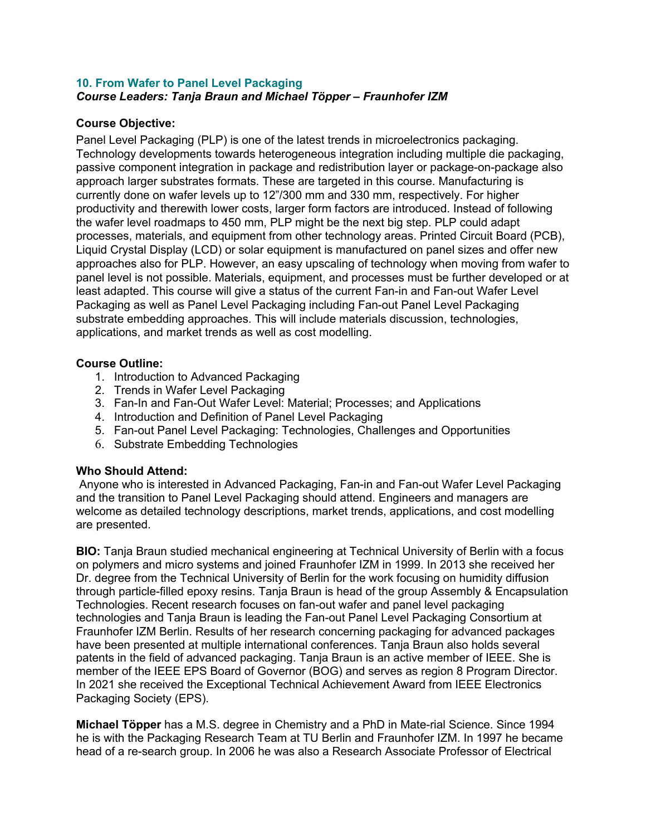## **10. From Wafer to Panel Level Packaging** *Course Leaders: Tanja Braun and Michael Töpper – Fraunhofer IZM*

## **Course Objective:**

Panel Level Packaging (PLP) is one of the latest trends in microelectronics packaging. Technology developments towards heterogeneous integration including multiple die packaging, passive component integration in package and redistribution layer or package-on-package also approach larger substrates formats. These are targeted in this course. Manufacturing is currently done on wafer levels up to 12"/300 mm and 330 mm, respectively. For higher productivity and therewith lower costs, larger form factors are introduced. Instead of following the wafer level roadmaps to 450 mm, PLP might be the next big step. PLP could adapt processes, materials, and equipment from other technology areas. Printed Circuit Board (PCB), Liquid Crystal Display (LCD) or solar equipment is manufactured on panel sizes and offer new approaches also for PLP. However, an easy upscaling of technology when moving from wafer to panel level is not possible. Materials, equipment, and processes must be further developed or at least adapted. This course will give a status of the current Fan-in and Fan-out Wafer Level Packaging as well as Panel Level Packaging including Fan-out Panel Level Packaging substrate embedding approaches. This will include materials discussion, technologies, applications, and market trends as well as cost modelling.

## **Course Outline:**

- 1. Introduction to Advanced Packaging
- 2. Trends in Wafer Level Packaging
- 3. Fan-In and Fan-Out Wafer Level: Material; Processes; and Applications
- 4. Introduction and Definition of Panel Level Packaging
- 5. Fan-out Panel Level Packaging: Technologies, Challenges and Opportunities
- 6. Substrate Embedding Technologies

## **Who Should Attend:**

Anyone who is interested in Advanced Packaging, Fan-in and Fan-out Wafer Level Packaging and the transition to Panel Level Packaging should attend. Engineers and managers are welcome as detailed technology descriptions, market trends, applications, and cost modelling are presented.

**BIO:** Tanja Braun studied mechanical engineering at Technical University of Berlin with a focus on polymers and micro systems and joined Fraunhofer IZM in 1999. In 2013 she received her Dr. degree from the Technical University of Berlin for the work focusing on humidity diffusion through particle-filled epoxy resins. Tanja Braun is head of the group Assembly & Encapsulation Technologies. Recent research focuses on fan-out wafer and panel level packaging technologies and Tanja Braun is leading the Fan-out Panel Level Packaging Consortium at Fraunhofer IZM Berlin. Results of her research concerning packaging for advanced packages have been presented at multiple international conferences. Tanja Braun also holds several patents in the field of advanced packaging. Tanja Braun is an active member of IEEE. She is member of the IEEE EPS Board of Governor (BOG) and serves as region 8 Program Director. In 2021 she received the Exceptional Technical Achievement Award from IEEE Electronics Packaging Society (EPS).

**Michael Töpper** has a M.S. degree in Chemistry and a PhD in Mate-rial Science. Since 1994 he is with the Packaging Research Team at TU Berlin and Fraunhofer IZM. In 1997 he became head of a re-search group. In 2006 he was also a Research Associate Professor of Electrical